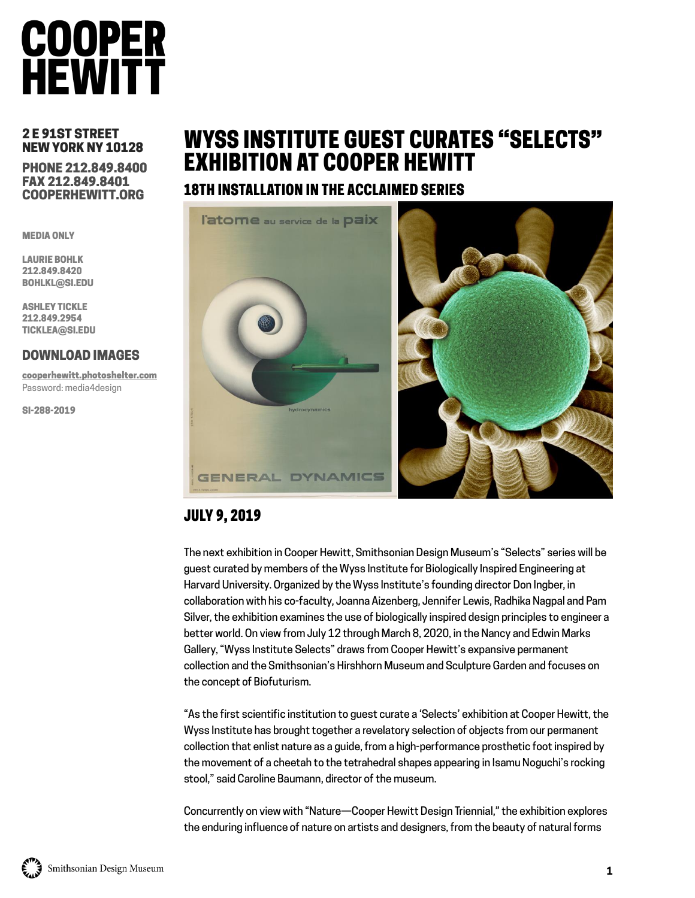# **COOPER**<br>HEWITT

### 2 E 91ST STREET NEW YORK NY 10128

### PHONE 212.849.8400 FAX 212.849.8401 COOPERHEWITT.ORG

MEDIA ONLY

LAURIE BOHLK 212.849.8420 BOHLKL@SI.EDU

ASHLEY TICKLE 212.849.2954 TICKLEA@SI.EDU

### DOWNLOAD IMAGES

cooperhewitt.photoshelter.com Password: media4design

SI-288-2019

# WYSS INSTITUTE GUEST CURATES "SELECTS" EXHIBITION AT COOPER HEWITT

## 18TH INSTALLATION IN THE ACCLAIMED SERIES



# JULY 9, 2019

The next exhibition in Cooper Hewitt, Smithsonian Design Museum's "Selects" series will be guest curated by members of the Wyss Institute for Biologically Inspired Engineering at Harvard University. Organized by the Wyss Institute's founding director Don Ingber, in collaboration with his co-faculty, Joanna Aizenberg, Jennifer Lewis, Radhika Nagpal and Pam Silver, the exhibition examines the use of biologically inspired design principles to engineer a better world. On view from July 12 through March 8, 2020, in the Nancy and Edwin Marks Gallery, "Wyss Institute Selects" draws from Cooper Hewitt's expansive permanent collection and the Smithsonian's Hirshhorn Museum and Sculpture Garden and focuses on the concept of Biofuturism.

"As the first scientific institution to guest curate a 'Selects' exhibition at Cooper Hewitt, the Wyss Institute has brought together a revelatory selection of objects from our permanent collection that enlist nature as a guide, from a high-performance prosthetic foot inspired by the movement of a cheetah to the tetrahedral shapes appearing in Isamu Noguchi's rocking stool," said Caroline Baumann, director of the museum.

Concurrently on view with "Nature—Cooper Hewitt Design Triennial," the exhibition explores the enduring influence of nature on artists and designers, from the beauty of natural forms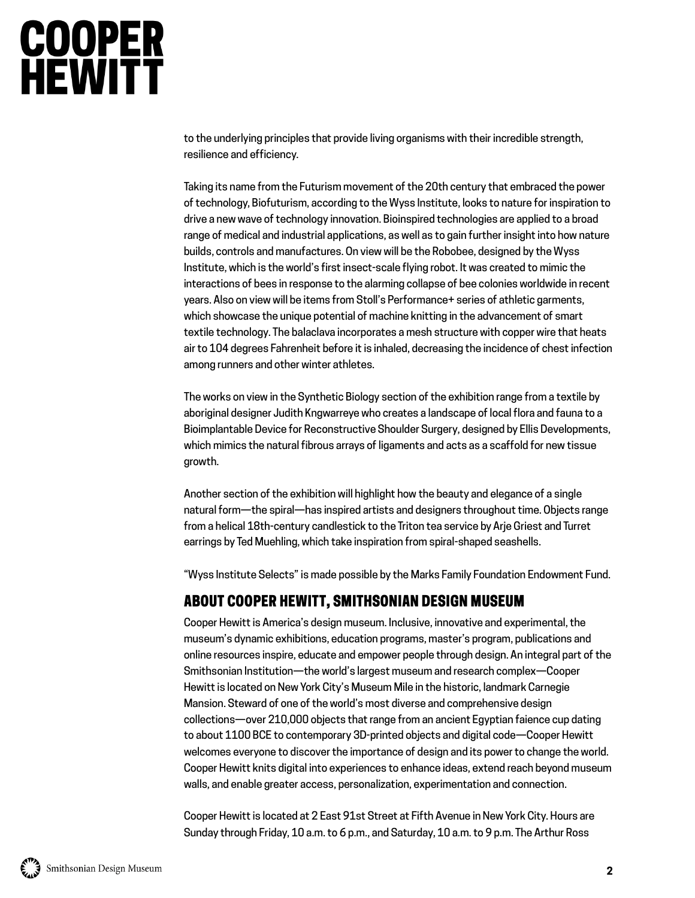# **COOPER**<br>HEWITT

to the underlying principles that provide living organisms with their incredible strength, resilience and efficiency.

Taking its name from the Futurism movement of the 20th century that embraced the power of technology, Biofuturism, according to the Wyss Institute, looks to nature for inspiration to drive a new wave of technology innovation. Bioinspired technologies are applied to a broad range of medical and industrial applications, as well as to gain further insight into how nature builds, controls and manufactures. On view will be the Robobee, designed by the Wyss Institute, which is the world's first insect-scale flying robot. It was created to mimic the interactions of bees in response to the alarming collapse of bee colonies worldwide in recent years. Also on view will be items from Stoll's Performance+ series of athletic garments, which showcase the unique potential of machine knitting in the advancement of smart textile technology. The balaclava incorporates a mesh structure with copper wire that heats air to 104 degrees Fahrenheit before it is inhaled, decreasing the incidence of chest infection among runners and other winter athletes.

The works on view in the Synthetic Biology section of the exhibition range from a textile by aboriginal designer Judith Kngwarreye who creates a landscape of local flora and fauna to a Bioimplantable Device for Reconstructive Shoulder Surgery, designed by Ellis Developments, which mimics the natural fibrous arrays of ligaments and acts as a scaffold for new tissue growth.

Another section of the exhibition will highlight how the beauty and elegance of a single natural form—the spiral—has inspired artists and designers throughout time. Objects range from a helical 18th-century candlestick to the Triton tea service by Arje Griest and Turret earrings by Ted Muehling, which take inspiration from spiral-shaped seashells.

"Wyss Institute Selects" is made possible by the Marks Family Foundation Endowment Fund.

## ABOUT COOPER HEWITT, SMITHSONIAN DESIGN MUSEUM

Cooper Hewitt is America's design museum. Inclusive, innovative and experimental, the museum's dynamic exhibitions, education programs, master's program, publications and online resources inspire, educate and empower people through design. An integral part of the Smithsonian Institution—the world's largest museum and research complex—Cooper Hewitt is located on New York City's Museum Mile in the historic, landmark Carnegie Mansion. Steward of one of the world's most diverse and comprehensive design collections—over 210,000 objects that range from an ancient Egyptian faience cup dating to about 1100 BCE to contemporary 3D-printed objects and digital code—Cooper Hewitt welcomes everyone to discover the importance of design and its power to change the world. Cooper Hewitt knits digital into experiences to enhance ideas, extend reach beyond museum walls, and enable greater access, personalization, experimentation and connection.

Cooper Hewitt is located at 2 East 91st Street at Fifth Avenue in New York City. Hours are Sunday through Friday, 10 a.m. to 6 p.m., and Saturday, 10 a.m. to 9 p.m. The Arthur Ross